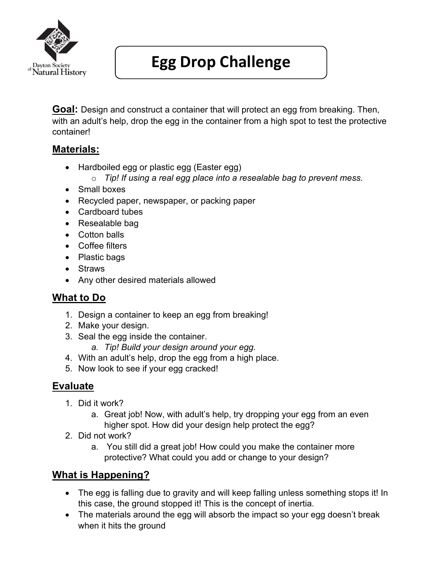

# **Egg Drop Challenge**

**Goal:** Design and construct a container that will protect an egg from breaking. Then, with an adult's help, drop the egg in the container from a high spot to test the protective container!

#### **Materials:**

- Hardboiled egg or plastic egg (Easter egg)
	- o *Tip! If using a real egg place into a resealable bag to prevent mess.*
- Small boxes
- Recycled paper, newspaper, or packing paper
- Cardboard tubes
- Resealable bag
- Cotton balls
- Coffee filters
- Plastic bags
- Straws
- Any other desired materials allowed

### **What to Do**

- 1. Design a container to keep an egg from breaking!
- 2. Make your design.
- 3. Seal the egg inside the container.
	- *a. Tip! Build your design around your egg.*
- 4. With an adult's help, drop the egg from a high place.
- 5. Now look to see if your egg cracked!

### **Evaluate**

- 1. Did it work?
	- a. Great job! Now, with adult's help, try dropping your egg from an even higher spot. How did your design help protect the egg?
- 2. Did not work?
	- a. You still did a great job! How could you make the container more protective? What could you add or change to your design?

### **What is Happening?**

- The egg is falling due to gravity and will keep falling unless something stops it! In this case, the ground stopped it! This is the concept of inertia.
- The materials around the egg will absorb the impact so your egg doesn't break when it hits the ground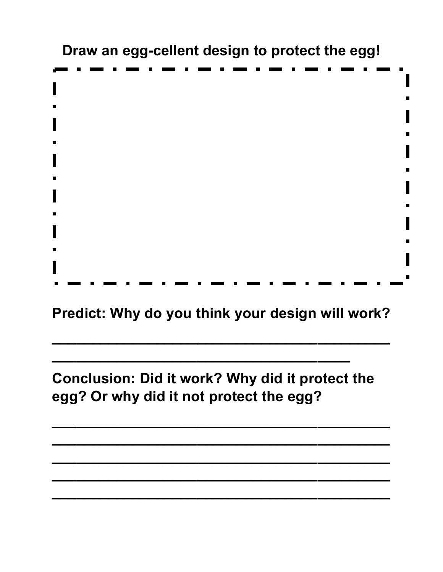**Draw an egg-cellent design to protect the egg!**

**Predict: Why do you think your design will work?**

**\_\_\_\_\_\_\_\_\_\_\_\_\_\_\_\_\_\_\_\_\_\_\_\_\_\_\_\_\_\_\_\_\_\_\_\_\_\_\_\_\_\_**

**Conclusion: Did it work? Why did it protect the egg? Or why did it not protect the egg?**

**\_\_\_\_\_\_\_\_\_\_\_\_\_\_\_\_\_\_\_\_\_\_\_\_\_\_\_\_\_\_\_\_\_\_\_\_\_\_\_\_\_\_**

**\_\_\_\_\_\_\_\_\_\_\_\_\_\_\_\_\_\_\_\_\_\_\_\_\_\_\_\_\_\_\_\_\_\_\_\_\_\_\_\_\_\_**

**\_\_\_\_\_\_\_\_\_\_\_\_\_\_\_\_\_\_\_\_\_\_\_\_\_\_\_\_\_\_\_\_\_\_\_\_\_\_\_\_\_\_**

**\_\_\_\_\_\_\_\_\_\_\_\_\_\_\_\_\_\_\_\_\_\_\_\_\_\_\_\_\_\_\_\_\_\_\_\_\_\_\_\_\_\_**

**\_\_\_\_\_\_\_\_\_\_\_\_\_\_\_\_\_\_\_\_\_\_\_\_\_\_\_\_\_\_\_\_\_\_\_\_\_\_\_\_\_\_**

**\_\_\_\_\_\_\_\_\_\_\_\_\_\_\_\_\_\_\_\_\_\_\_\_\_\_\_\_\_\_\_\_\_\_\_\_\_**